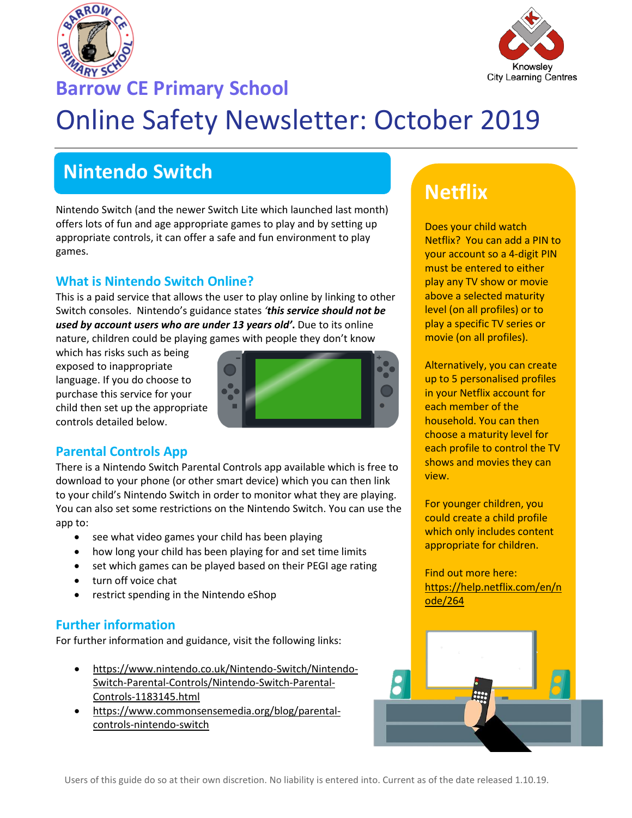



# **Barrow CE Primary School**

# Online Safety Newsletter: October 2019

# **Nintendo Switch**

Nintendo Switch (and the newer Switch Lite which launched last month) offers lots of fun and age appropriate games to play and by setting up appropriate controls, it can offer a safe and fun environment to play games.

### **What is Nintendo Switch Online?**

This is a paid service that allows the user to play online by linking to other Switch consoles. Nintendo's guidance states *'this service should not be used by account users who are under 13 years old'***.** Due to its online nature, children could be playing games with people they don't know

which has risks such as being exposed to inappropriate language. If you do choose to purchase this service for your child then set up the appropriate controls detailed below.



### **Parental Controls App**

There is a Nintendo Switch Parental Controls app available which is free to download to your phone (or other smart device) which you can then link to your child's Nintendo Switch in order to monitor what they are playing. You can also set some restrictions on the Nintendo Switch. You can use the app to:

- see what video games your child has been playing
- how long your child has been playing for and set time limits
- set which games can be played based on their PEGI age rating
- turn off voice chat
- restrict spending in the Nintendo eShop

### **Further information**

For further information and guidance, visit the following links:

- [https://www.nintendo.co.uk/Nintendo-Switch/Nintendo-](https://www.nintendo.co.uk/Nintendo-Switch/Nintendo-Switch-Parental-Controls/Nintendo-Switch-Parental-Controls-1183145.html)[Switch-Parental-Controls/Nintendo-Switch-Parental-](https://www.nintendo.co.uk/Nintendo-Switch/Nintendo-Switch-Parental-Controls/Nintendo-Switch-Parental-Controls-1183145.html)[Controls-1183145.html](https://www.nintendo.co.uk/Nintendo-Switch/Nintendo-Switch-Parental-Controls/Nintendo-Switch-Parental-Controls-1183145.html)
- [https://www.commonsensemedia.org/blog/parental](https://www.commonsensemedia.org/blog/parental-controls-nintendo-switch)[controls-nintendo-switch](https://www.commonsensemedia.org/blog/parental-controls-nintendo-switch)

# **Netflix**

Does your child watch Netflix? You can add a PIN to your account so a 4-digit PIN must be entered to either play any TV show or movie above a selected maturity level (on all profiles) or to play a specific TV series or movie (on all profiles).

Alternatively, you can create up to 5 personalised profiles in your Netflix account for each member of the household. You can then choose a maturity level for each profile to control the TV shows and movies they can view.

For younger children, you could create a child profile which only includes content appropriate for children.

Find out more here: [https://help.netflix.com/en/n](https://help.netflix.com/en/node/264) [ode/264](https://help.netflix.com/en/node/264)